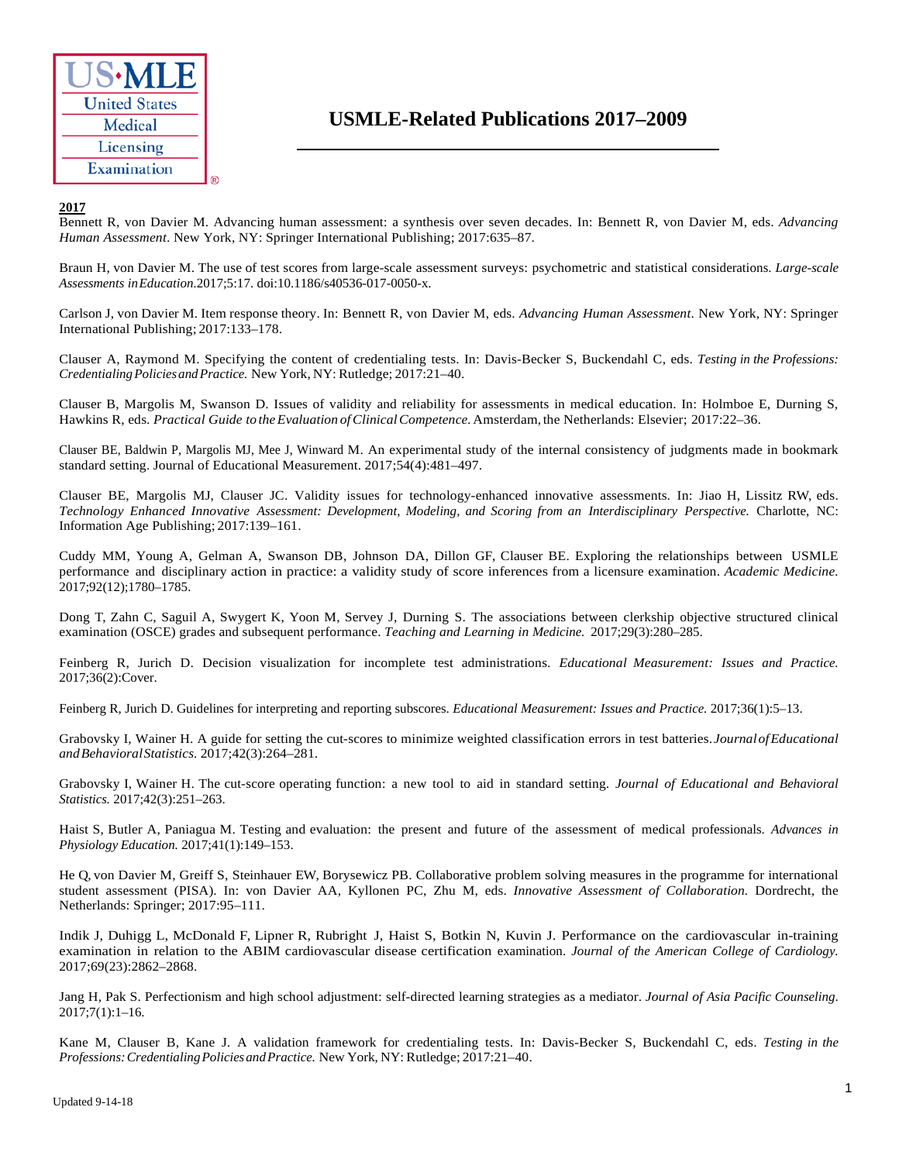

# **USMLE-Related Publications 2017–2009**

## **2017**

Bennett R, von Davier M. Advancing human assessment: a synthesis over seven decades. In: Bennett R, von Davier M, eds. *Advancing Human Assessment*. New York, NY: Springer International Publishing; 2017:635–87.

Braun H, von Davier M. The use of test scores from large-scale assessment surveys: psychometric and statistical considerations. *Large-scale Assessments inEducation.*2017;5:17. doi:10.1186/s40536-017-0050-x.

Carlson J, von Davier M. Item response theory. In: Bennett R, von Davier M, eds. *Advancing Human Assessment*. New York, NY: Springer International Publishing; 2017:133–178.

Clauser A, Raymond M. Specifying the content of credentialing tests. In: Davis-Becker S, Buckendahl C, eds. *Testing in the Professions: CredentialingPoliciesandPractice.* New York, NY: Rutledge; 2017:21–40.

Clauser B, Margolis M, Swanson D. Issues of validity and reliability for assessments in medical education. In: Holmboe E, Durning S, Hawkins R, eds. *Practical Guide to theEvaluation ofClinicalCompetence.*Amsterdam, the Netherlands: Elsevier; 2017:22–36.

Clauser BE, Baldwin P, Margolis MJ, Mee J, Winward M. An experimental study of the internal consistency of judgments made in bookmark standard setting. Journal of Educational Measurement. 2017;54(4):481–497.

Clauser BE, Margolis MJ, Clauser JC. Validity issues for technology-enhanced innovative assessments. In: Jiao H, Lissitz RW, eds. *Technology Enhanced Innovative Assessment: Development, Modeling, and Scoring from an Interdisciplinary Perspective.* Charlotte, NC: Information Age Publishing; 2017:139–161.

Cuddy MM, Young A, Gelman A, Swanson DB, Johnson DA, Dillon GF, Clauser BE. Exploring the relationships between USMLE performance and disciplinary action in practice: a validity study of score inferences from a licensure examination. *Academic Medicine.*  2017;92(12);1780–1785.

Dong T, Zahn C, Saguil A, Swygert K, Yoon M, Servey J, Durning S. The associations between clerkship objective structured clinical examination (OSCE) grades and subsequent performance. *Teaching and Learning in Medicine.* 2017;29(3):280–285.

Feinberg R, Jurich D. Decision visualization for incomplete test administrations. *Educational Measurement: Issues and Practice.* 2017;36(2):Cover.

Feinberg R, Jurich D. Guidelines for interpreting and reporting subscores. *Educational Measurement: Issues and Practice.* 2017;36(1):5–13.

Grabovsky I, Wainer H. A guide for setting the cut-scores to minimize weighted classification errors in test batteries.*JournalofEducational andBehavioralStatistics.* 2017;42(3):264–281.

Grabovsky I, Wainer H. The cut-score operating function: a new tool to aid in standard setting. *Journal of Educational and Behavioral Statistics.* 2017;42(3):251–263.

Haist S, Butler A, Paniagua M. Testing and evaluation: the present and future of the assessment of medical professionals. *Advances in Physiology Education.* 2017;41(1):149–153.

He Q, von Davier M, Greiff S, Steinhauer EW, Borysewicz PB. Collaborative problem solving measures in the programme for international student assessment (PISA). In: von Davier AA, Kyllonen PC, Zhu M, eds. *Innovative Assessment of Collaboration.* Dordrecht, the Netherlands: Springer; 2017:95–111.

Indik J, Duhigg L, McDonald F, Lipner R, Rubright J, Haist S, Botkin N, Kuvin J. Performance on the cardiovascular in-training examination in relation to the ABIM cardiovascular disease certification examination. *Journal of the American College of Cardiology.*  2017;69(23):2862–2868.

Jang H, Pak S. Perfectionism and high school adjustment: self-directed learning strategies as a mediator. *Journal of Asia Pacific Counseling*. 2017;7(1):1–16.

Kane M, Clauser B, Kane J. A validation framework for credentialing tests. In: Davis-Becker S, Buckendahl C, eds. *Testing in the Professions:CredentialingPoliciesandPractice.* New York, NY: Rutledge; 2017:21–40.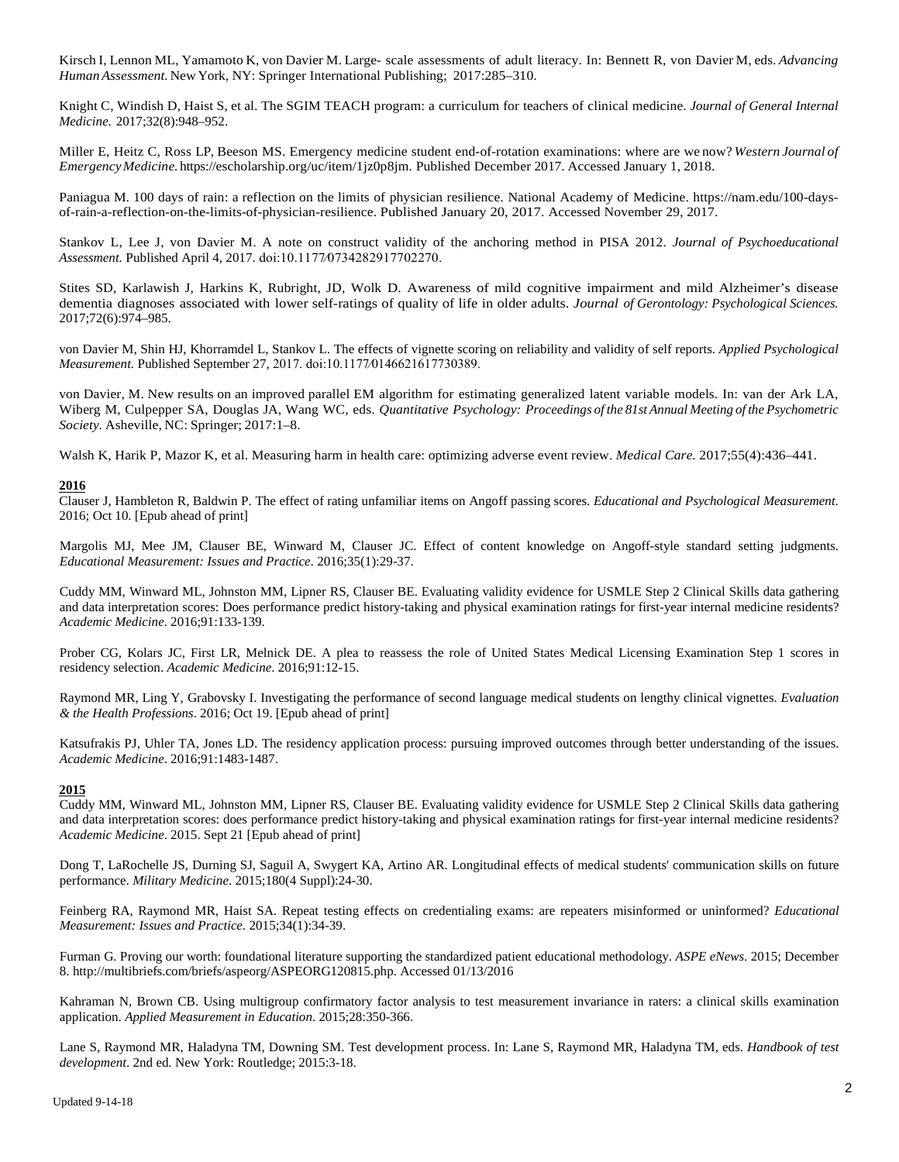Kirsch I, Lennon ML, Yamamoto K, von Davier M. Large- scale assessments of adult literacy. In: Bennett R, von Davier M, eds. *Advancing Human Assessment.*New York, NY: Springer International Publishing; 2017:285–310.

Knight C, Windish D, Haist S, et al. The SGIM TEACH program: a curriculum for teachers of clinical medicine. *Journal of General Internal Medicine.* 2017;32(8):948–952.

Miller E, Heitz C, Ross LP, Beeson MS. Emergency medicine student end-of-rotation examinations: where are we now? *Western Journal of EmergencyMedicine.*https://escholarship.org/uc/item/1jz0p8jm. Published December 2017. Accessed January 1, 2018.

Paniagua M. 100 days of rain: a reflection on the limits of physician resilience. National Academy of Medicine. [https://nam.edu/100-days](https://nam.edu/100-days-of-rain-a-reflection-on-the-limits-of-physician-resilience)[of-rain-a-reflection-on-the-limits-of-physician-resilience.](https://nam.edu/100-days-of-rain-a-reflection-on-the-limits-of-physician-resilience) Published January 20, 2017. Accessed November 29, 2017.

Stankov L, Lee J, von Davier M. A note on construct validity of the anchoring method in PISA 2012. *Journal of Psychoeducational Assessment.* Published April 4, 2017. doi:10.1177⁄0734282917702270.

Stites SD, Karlawish J, Harkins K, Rubright, JD, Wolk D. Awareness of mild cognitive impairment and mild Alzheimer's disease dementia diagnoses associated with lower self-ratings of quality of life in older adults. *Journal of Gerontology: Psychological Sciences.* 2017;72(6):974–985.

von Davier M, Shin HJ, Khorramdel L, Stankov L. The effects of vignette scoring on reliability and validity of self reports. *Applied Psychological Measurement.* Published September 27, 2017. doi:10.1177⁄0146621617730389.

von Davier, M. New results on an improved parallel EM algorithm for estimating generalized latent variable models. In: van der Ark LA, Wiberg M, Culpepper SA, Douglas JA, Wang WC, eds. *Quantitative Psychology: Proceedings of the 81st Annual Meeting of the Psychometric Society.* Asheville, NC: Springer; 2017:1–8.

Walsh K, Harik P, Mazor K, et al. Measuring harm in health care: optimizing adverse event review. *Medical Care.* 2017;55(4):436–441.

#### **2016**

Clauser J, Hambleton R, Baldwin P. The effect of rating unfamiliar items on Angoff passing scores. *Educational and Psychological Measurement*. 2016; Oct 10. [Epub ahead of print]

Margolis MJ, Mee JM, Clauser BE, Winward M, Clauser JC. Effect of content knowledge on Angoff-style standard setting judgments. *Educational Measurement: Issues and Practice*. 2016;35(1):29-37.

Cuddy MM, Winward ML, Johnston MM, Lipner RS, Clauser BE. Evaluating validity evidence for USMLE Step 2 Clinical Skills data gathering and data interpretation scores: Does performance predict history-taking and physical examination ratings for first-year internal medicine residents? *Academic Medicine*. 2016;91:133-139.

Prober CG, Kolars JC, First LR, Melnick DE. A plea to reassess the role of United States Medical Licensing Examination Step 1 scores in residency selection. *Academic Medicine*. 2016;91:12-15.

Raymond MR, Ling Y, Grabovsky I. Investigating the performance of second language medical students on lengthy clinical vignettes. *Evaluation & the Health Professions*. 2016; Oct 19. [Epub ahead of print]

Katsufrakis PJ, Uhler TA, Jones LD. The residency application process: pursuing improved outcomes through better understanding of the issues. *Academic Medicine*. 2016;91:1483-1487.

# **2015**

Cuddy MM, Winward ML, Johnston MM, Lipner RS, Clauser BE. Evaluating validity evidence for USMLE Step 2 Clinical Skills data gathering and data interpretation scores: does performance predict history-taking and physical examination ratings for first-year internal medicine residents? *Academic Medicine*. 2015. Sept 21 [Epub ahead of print]

Dong T, LaRochelle JS, Durning SJ, Saguil A, Swygert KA, Artino AR. Longitudinal effects of medical students' communication skills on future performance. *Military Medicine*. 2015;180(4 Suppl):24-30.

Feinberg RA, Raymond MR, Haist SA. Repeat testing effects on credentialing exams: are repeaters misinformed or uninformed? *Educational Measurement: Issues and Practice*. 2015;34(1):34-39.

Furman G. Proving our worth: foundational literature supporting the standardized patient educational methodology. *ASPE eNews*. 2015; December 8. http://multibriefs.com/briefs/aspeorg/ASPEORG120815.php. Accessed 01/13/2016

Kahraman N, Brown CB. Using multigroup confirmatory factor analysis to test measurement invariance in raters: a clinical skills examination application. *Applied Measurement in Education*. 2015;28:350-366.

Lane S, Raymond MR, Haladyna TM, Downing SM. Test development process. In: Lane S, Raymond MR, Haladyna TM, eds. *Handbook of test development*. 2nd ed. New York: Routledge; 2015:3-18.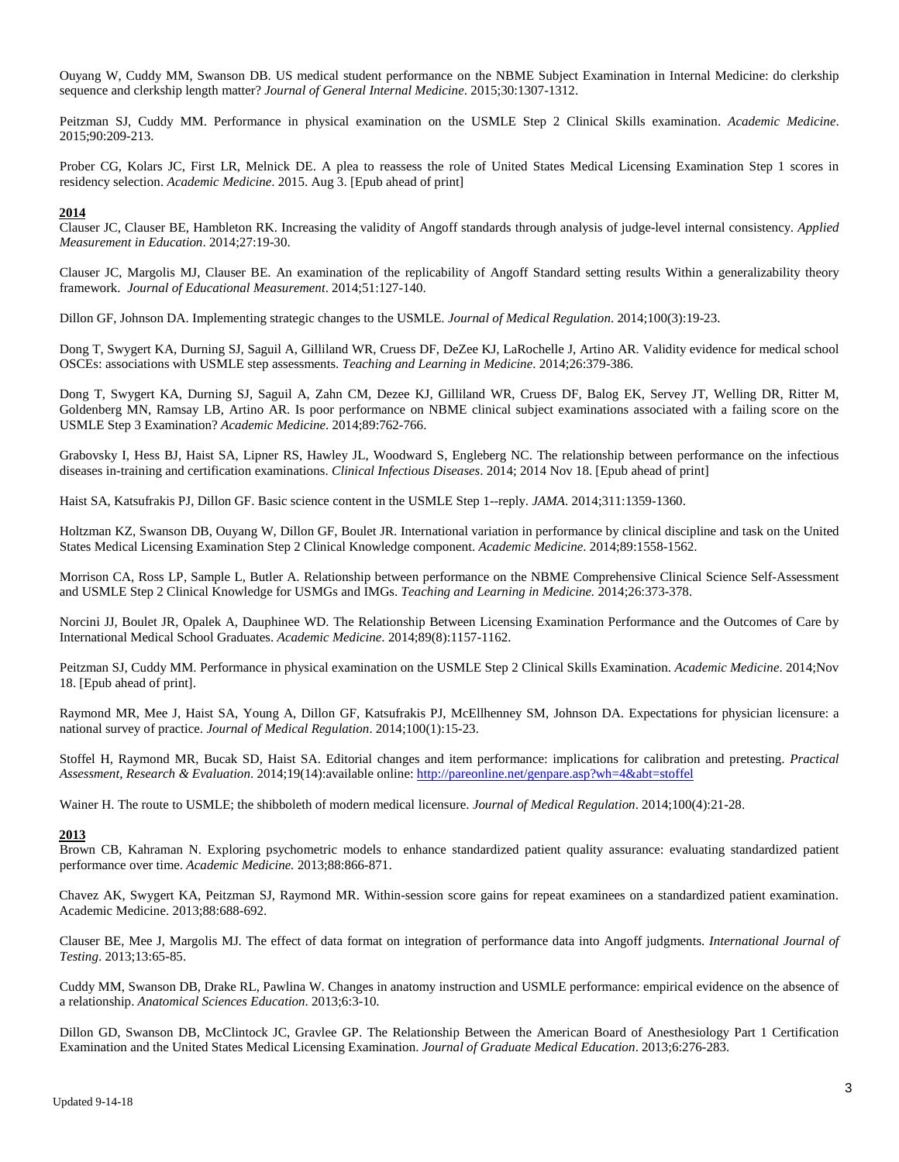Ouyang W, Cuddy MM, Swanson DB. US medical student performance on the NBME Subject Examination in Internal Medicine: do clerkship sequence and clerkship length matter? *Journal of General Internal Medicine*. 2015;30:1307-1312.

Peitzman SJ, Cuddy MM. Performance in physical examination on the USMLE Step 2 Clinical Skills examination. *Academic Medicine*. 2015;90:209-213.

Prober CG, Kolars JC, First LR, Melnick DE. A plea to reassess the role of United States Medical Licensing Examination Step 1 scores in residency selection. *Academic Medicine*. 2015. Aug 3. [Epub ahead of print]

#### **2014**

Clauser JC, Clauser BE, Hambleton RK. Increasing the validity of Angoff standards through analysis of judge-level internal consistency. *Applied Measurement in Education*. 2014;27:19-30.

Clauser JC, Margolis MJ, Clauser BE. An examination of the replicability of Angoff Standard setting results Within a generalizability theory framework. *Journal of Educational Measurement*. 2014;51:127-140.

Dillon GF, Johnson DA. Implementing strategic changes to the USMLE. *Journal of Medical Regulation*. 2014;100(3):19-23.

Dong T, Swygert KA, Durning SJ, Saguil A, Gilliland WR, Cruess DF, DeZee KJ, LaRochelle J, Artino AR. Validity evidence for medical school OSCEs: associations with USMLE step assessments. *Teaching and Learning in Medicine*. 2014;26:379-386.

Dong T, Swygert KA, Durning SJ, Saguil A, Zahn CM, Dezee KJ, Gilliland WR, Cruess DF, Balog EK, Servey JT, Welling DR, Ritter M, Goldenberg MN, Ramsay LB, Artino AR. Is poor performance on NBME clinical subject examinations associated with a failing score on the USMLE Step 3 Examination? *Academic Medicine*. 2014;89:762-766.

Grabovsky I, Hess BJ, Haist SA, Lipner RS, Hawley JL, Woodward S, Engleberg NC. The relationship between performance on the infectious diseases in-training and certification examinations. *Clinical Infectious Diseases*. 2014; 2014 Nov 18. [Epub ahead of print]

Haist SA, Katsufrakis PJ, Dillon GF. Basic science content in the USMLE Step 1--reply. *JAMA*. 2014;311:1359-1360.

Holtzman KZ, Swanson DB, Ouyang W, Dillon GF, Boulet JR. International variation in performance by clinical discipline and task on the United States Medical Licensing Examination Step 2 Clinical Knowledge component. *Academic Medicine*. 2014;89:1558-1562.

Morrison CA, Ross LP, Sample L, Butler A. Relationship between performance on the NBME Comprehensive Clinical Science Self-Assessment and USMLE Step 2 Clinical Knowledge for USMGs and IMGs. *Teaching and Learning in Medicine.* 2014;26:373-378.

Norcini JJ, Boulet JR, Opalek A, Dauphinee WD. The Relationship Between Licensing Examination Performance and the Outcomes of Care by International Medical School Graduates. *Academic Medicine*. 2014;89(8):1157-1162.

Peitzman SJ, Cuddy MM. Performance in physical examination on the USMLE Step 2 Clinical Skills Examination. *Academic Medicine*. 2014;Nov 18. [Epub ahead of print].

Raymond MR, Mee J, Haist SA, Young A, Dillon GF, Katsufrakis PJ, McEllhenney SM, Johnson DA. Expectations for physician licensure: a national survey of practice. *Journal of Medical Regulation*. 2014;100(1):15-23.

Stoffel H, Raymond MR, Bucak SD, Haist SA. Editorial changes and item performance: implications for calibration and pretesting. *Practical Assessment, Research & Evaluation*. 2014;19(14):available online:<http://pareonline.net/genpare.asp?wh=4&abt=stoffel>

Wainer H. The route to USMLE; the shibboleth of modern medical licensure. *Journal of Medical Regulation*. 2014;100(4):21-28.

#### **2013**

Brown CB, Kahraman N. Exploring psychometric models to enhance standardized patient quality assurance: evaluating standardized patient performance over time. *Academic Medicine.* 2013;88:866-871.

Chavez AK, Swygert KA, Peitzman SJ, Raymond MR. Within-session score gains for repeat examinees on a standardized patient examination. Academic Medicine. 2013;88:688-692.

Clauser BE, Mee J, Margolis MJ. The effect of data format on integration of performance data into Angoff judgments. *International Journal of Testing*. 2013;13:65-85.

Cuddy MM, Swanson DB, Drake RL, Pawlina W. Changes in anatomy instruction and USMLE performance: empirical evidence on the absence of a relationship. *Anatomical Sciences Education*. 2013;6:3-10.

Dillon GD, Swanson DB, McClintock JC, Gravlee GP. The Relationship Between the American Board of Anesthesiology Part 1 Certification Examination and the United States Medical Licensing Examination. *Journal of Graduate Medical Education*. 2013;6:276-283.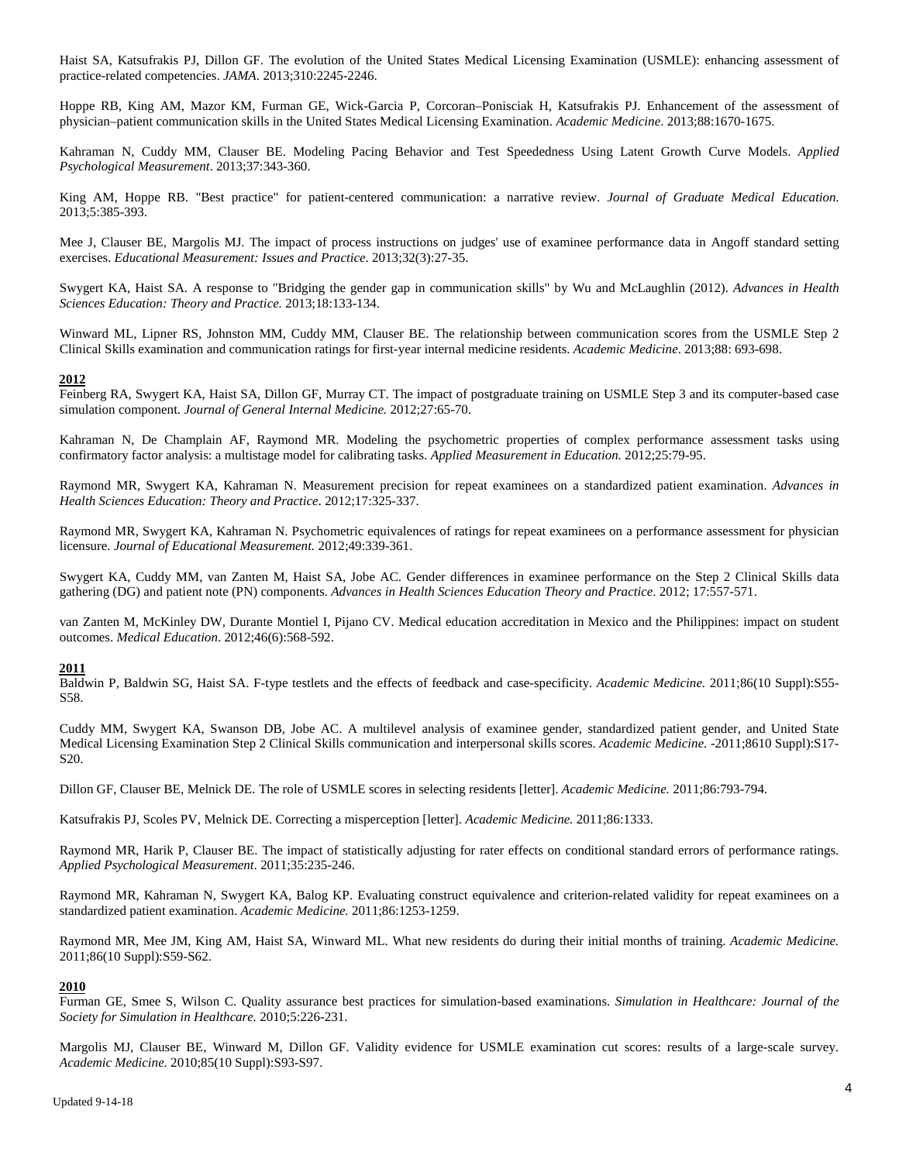Haist SA, Katsufrakis PJ, Dillon GF. The evolution of the United States Medical Licensing Examination (USMLE): enhancing assessment of practice-related competencies. *JAMA*. 2013;310:2245-2246.

Hoppe RB, King AM, Mazor KM, Furman GE, Wick-Garcia P, Corcoran–Ponisciak H, Katsufrakis PJ. Enhancement of the assessment of physician–patient communication skills in the United States Medical Licensing Examination. *Academic Medicine*. 2013;88:1670-1675.

Kahraman N, Cuddy MM, Clauser BE. Modeling Pacing Behavior and Test Speededness Using Latent Growth Curve Models. *Applied Psychological Measurement*. 2013;37:343-360.

King AM, Hoppe RB. "Best practice" for patient-centered communication: a narrative review. *Journal of Graduate Medical Education*. 2013;5:385-393.

Mee J, Clauser BE, Margolis MJ. The impact of process instructions on judges' use of examinee performance data in Angoff standard setting exercises. *Educational Measurement: Issues and Practice*. 2013;32(3):27-35.

Swygert KA, Haist SA. A response to "Bridging the gender gap in communication skills" by Wu and McLaughlin (2012). *Advances in Health Sciences Education: Theory and Practice.* 2013;18:133-134.

Winward ML, Lipner RS, Johnston MM, Cuddy MM, Clauser BE. The relationship between communication scores from the USMLE Step 2 Clinical Skills examination and communication ratings for first-year internal medicine residents. *Academic Medicine*. 2013;88: 693-698.

## **2012**

Feinberg RA, Swygert KA, Haist SA, Dillon GF, Murray CT. The impact of postgraduate training on USMLE Step 3 and its computer-based case simulation component. *Journal of General Internal Medicine.* 2012;27:65-70.

Kahraman N, De Champlain AF, Raymond MR. Modeling the psychometric properties of complex performance assessment tasks using confirmatory factor analysis: a multistage model for calibrating tasks. *Applied Measurement in Education.* 2012;25:79-95.

Raymond MR, Swygert KA, Kahraman N. Measurement precision for repeat examinees on a standardized patient examination. *Advances in Health Sciences Education: Theory and Practice*. 2012;17:325-337.

Raymond MR, Swygert KA, Kahraman N. Psychometric equivalences of ratings for repeat examinees on a performance assessment for physician licensure. *Journal of Educational Measurement.* 2012;49:339-361.

Swygert KA, Cuddy MM, van Zanten M, Haist SA, Jobe AC. Gender differences in examinee performance on the Step 2 Clinical Skills data gathering (DG) and patient note (PN) components. *Advances in Health Sciences Education Theory and Practice*. 2012; 17:557-571.

van Zanten M, McKinley DW, Durante Montiel I, Pijano CV. Medical education accreditation in Mexico and the Philippines: impact on student outcomes. *Medical Education*. 2012;46(6):568-592.

#### **2011**

Baldwin P, Baldwin SG, Haist SA. F-type testlets and the effects of feedback and case-specificity. *Academic Medicine.* 2011;86(10 Suppl):S55- S58.

Cuddy MM, Swygert KA, Swanson DB, Jobe AC. A multilevel analysis of examinee gender, standardized patient gender, and United State Medical Licensing Examination Step 2 Clinical Skills communication and interpersonal skills scores. *Academic Medicine.* -2011;8610 Suppl):S17- S20.

Dillon GF, Clauser BE, Melnick DE. The role of USMLE scores in selecting residents [letter]. *Academic Medicine.* 2011;86:793-794.

Katsufrakis PJ, Scoles PV, Melnick DE. Correcting a misperception [letter]. *Academic Medicine.* 2011;86:1333.

Raymond MR, Harik P, Clauser BE. The impact of statistically adjusting for rater effects on conditional standard errors of performance ratings. *Applied Psychological Measurement*. 2011;35:235-246.

Raymond MR, Kahraman N, Swygert KA, Balog KP. Evaluating construct equivalence and criterion-related validity for repeat examinees on a standardized patient examination. *Academic Medicine.* 2011;86:1253-1259.

Raymond MR, Mee JM, King AM, Haist SA, Winward ML. What new residents do during their initial months of training. *Academic Medicine.* 2011;86(10 Suppl):S59-S62.

#### **2010**

Furman GE, Smee S, Wilson C. Quality assurance best practices for simulation-based examinations. *Simulation in Healthcare: Journal of the Society for Simulation in Healthcare.* 2010;5:226-231.

Margolis MJ, Clauser BE, Winward M, Dillon GF. Validity evidence for USMLE examination cut scores: results of a large-scale survey. *Academic Medicine.* 2010;85(10 Suppl):S93-S97.